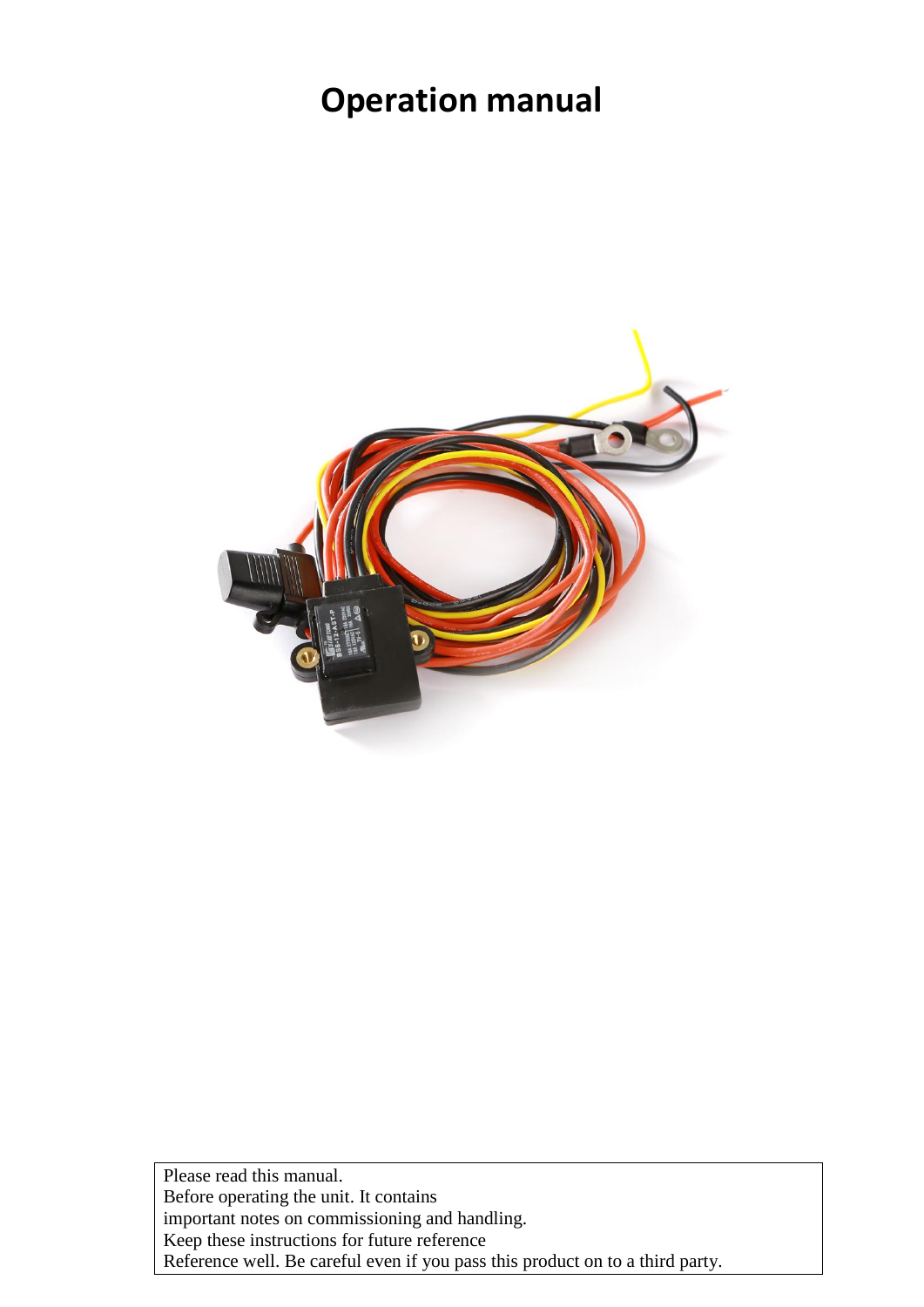# **Operation manual**



Please read this manual. Before operating the unit. It contains important notes on commissioning and handling. Keep these instructions for future reference Reference well. Be careful even if you pass this product on to a third party.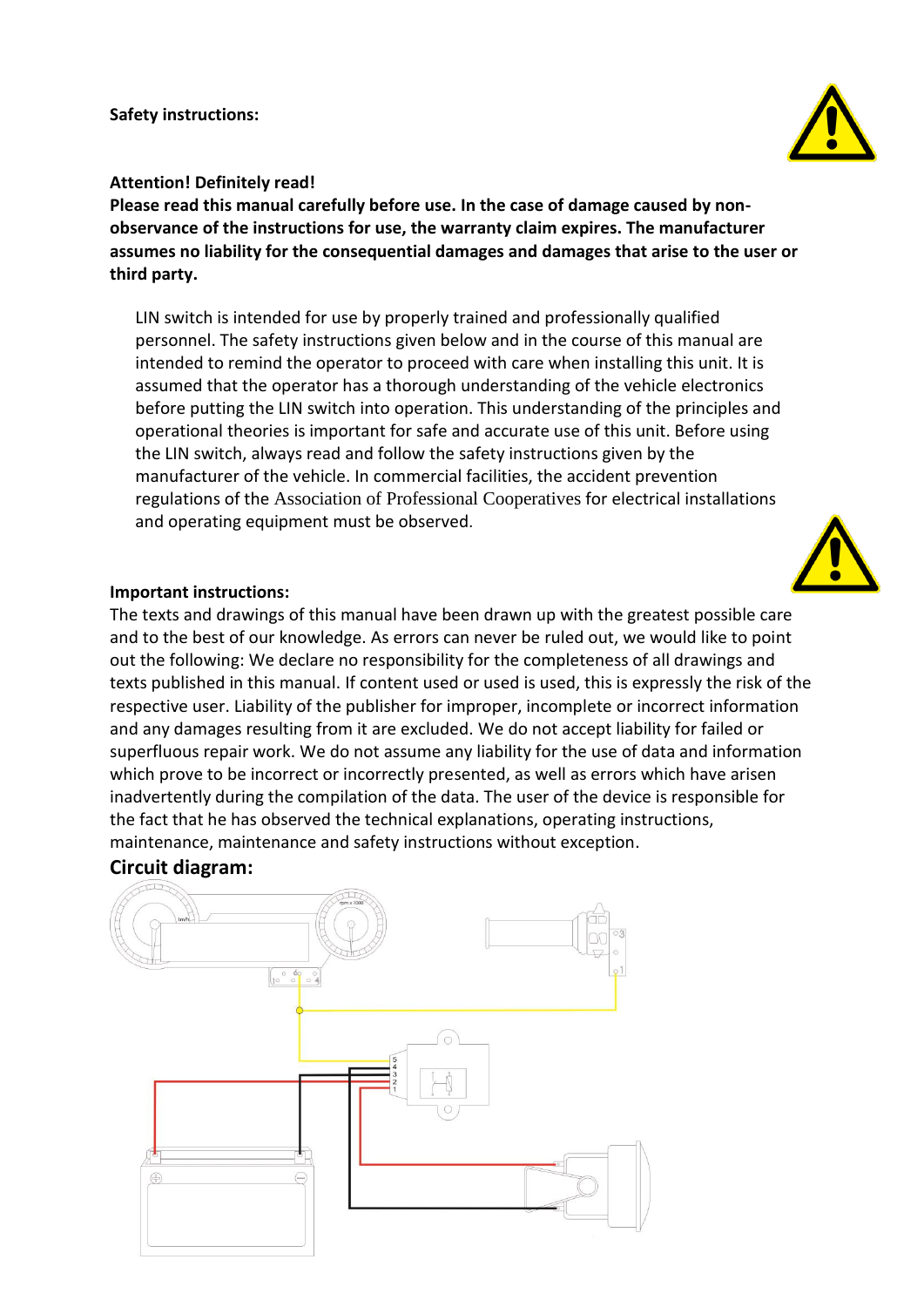**Safety instructions:**

# **Attention! Definitely read!**

**Please read this manual carefully before use. In the case of damage caused by nonobservance of the instructions for use, the warranty claim expires. The manufacturer assumes no liability for the consequential damages and damages that arise to the user or third party.**

LIN switch is intended for use by properly trained and professionally qualified personnel. The safety instructions given below and in the course of this manual are intended to remind the operator to proceed with care when installing this unit. It is assumed that the operator has a thorough understanding of the vehicle electronics before putting the LIN switch into operation. This understanding of the principles and operational theories is important for safe and accurate use of this unit. Before using the LIN switch, always read and follow the safety instructions given by the manufacturer of the vehicle. In commercial facilities, the accident prevention regulations of the Association of Professional Cooperatives for electrical installations and operating equipment must be observed.

# **Important instructions:**

The texts and drawings of this manual have been drawn up with the greatest possible care and to the best of our knowledge. As errors can never be ruled out, we would like to point out the following: We declare no responsibility for the completeness of all drawings and texts published in this manual. If content used or used is used, this is expressly the risk of the respective user. Liability of the publisher for improper, incomplete or incorrect information and any damages resulting from it are excluded. We do not accept liability for failed or superfluous repair work. We do not assume any liability for the use of data and information which prove to be incorrect or incorrectly presented, as well as errors which have arisen inadvertently during the compilation of the data. The user of the device is responsible for the fact that he has observed the technical explanations, operating instructions, maintenance, maintenance and safety instructions without exception.

# **Circuit diagram:**





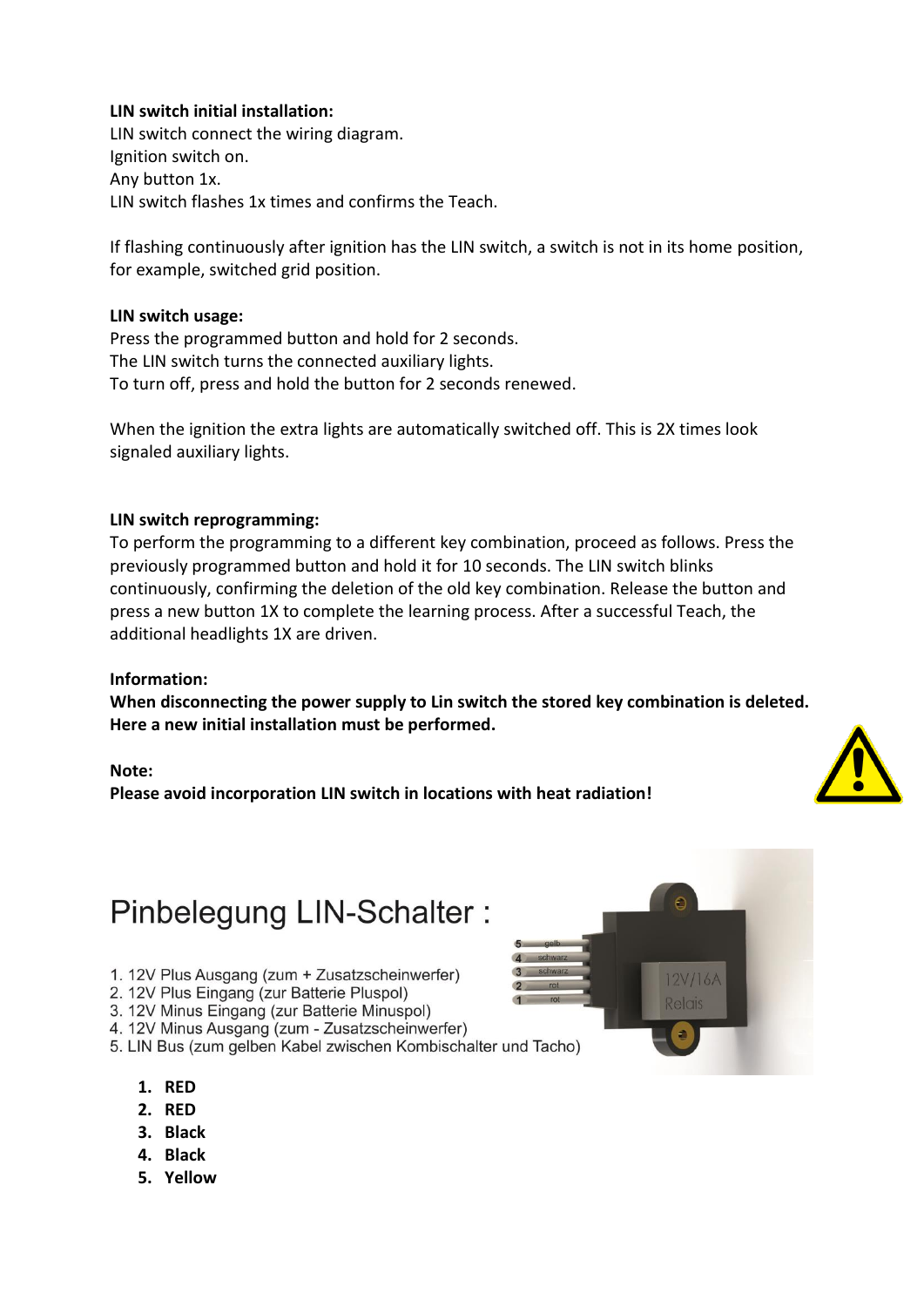### **LIN switch initial installation:**

LIN switch connect the wiring diagram. Ignition switch on. Any button 1x. LIN switch flashes 1x times and confirms the Teach.

If flashing continuously after ignition has the LIN switch, a switch is not in its home position, for example, switched grid position.

#### **LIN switch usage:**

Press the programmed button and hold for 2 seconds. The LIN switch turns the connected auxiliary lights. To turn off, press and hold the button for 2 seconds renewed.

When the ignition the extra lights are automatically switched off. This is 2X times look signaled auxiliary lights.

#### **LIN switch reprogramming:**

To perform the programming to a different key combination, proceed as follows. Press the previously programmed button and hold it for 10 seconds. The LIN switch blinks continuously, confirming the deletion of the old key combination. Release the button and press a new button 1X to complete the learning process. After a successful Teach, the additional headlights 1X are driven.

#### **Information:**

**When disconnecting the power supply to Lin switch the stored key combination is deleted. Here a new initial installation must be performed.**

#### **Note:**

**Please avoid incorporation LIN switch in locations with heat radiation!**



# Pinbelegung LIN-Schalter:

- 1. 12V Plus Ausgang (zum + Zusatzscheinwerfer)
- 2. 12V Plus Eingang (zur Batterie Pluspol)
- 3. 12V Minus Eingang (zur Batterie Minuspol)
- 4. 12V Minus Ausgang (zum Zusatzscheinwerfer)
- 5. LIN Bus (zum gelben Kabel zwischen Kombischalter und Tacho)
	- **1. RED**
	- **2. RED**
	- **3. Black**
	- **4. Black**
	- **5. Yellow**